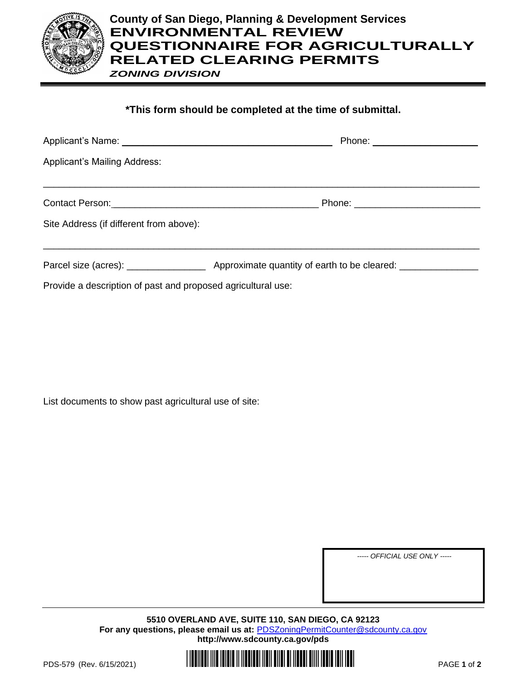

## **County of San Diego, Planning & Development Services ENVIRONMENTAL REVIEW QUESTIONNAIRE FOR AGRICULTURALLY RELATED CLEARING PERMITS** *ZONING DIVISION*

## **\*This form should be completed at the time of submittal.**

| <b>Applicant's Mailing Address:</b>                          |  |
|--------------------------------------------------------------|--|
|                                                              |  |
| Site Address (if different from above):                      |  |
|                                                              |  |
| Provide a description of past and proposed agricultural use: |  |

List documents to show past agricultural use of site:

*----- OFFICIAL USE ONLY -----*